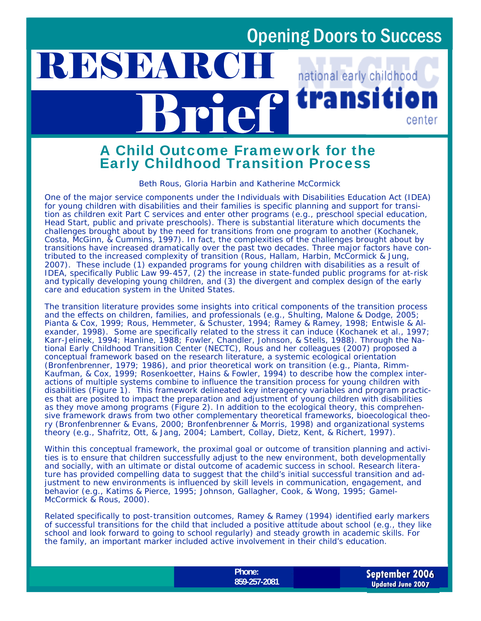ransı

national early childhood

center

# Brief A Child Outcome Framework for the Early Childhood Transition Process

RESEARC

#### *Beth Rous, Gloria Harbin and Katherine McCormick*

One of the major service components under the Individuals with Disabilities Education Act (IDEA) for young children with disabilities and their families is specific planning and support for transition as children exit Part C services and enter other programs (e.g., preschool special education, Head Start, public and private preschools). There is substantial literature which documents the challenges brought about by the need for transitions from one program to another (Kochanek, Costa, McGinn, & Cummins, 1997). In fact, the complexities of the challenges brought about by transitions have increased dramatically over the past two decades. Three major factors have contributed to the increased complexity of transition (Rous, Hallam, Harbin, McCormick & Jung, 2007). These include (1) expanded programs for young children with disabilities as a result of IDEA, specifically Public Law 99-457, (2) the increase in state-funded public programs for at-risk and typically developing young children, and (3) the divergent and complex design of the early care and education system in the United States.

The transition literature provides some insights into critical components of the transition process and the effects on children, families, and professionals (e.g., Shulting, Malone & Dodge, 2005; Pianta & Cox, 1999; Rous, Hemmeter, & Schuster, 1994; Ramey & Ramey, 1998; Entwisle & Alexander, 1998). Some are specifically related to the stress it can induce (Kochanek et al., 1997; Karr-Jelinek, 1994; Hanline, 1988; Fowler, Chandler, Johnson, & Stells, 1988). Through the National Early Childhood Transition Center (NECTC), Rous and her colleagues (2007) proposed a conceptual framework based on the research literature, a systemic ecological orientation (Bronfenbrenner, 1979; 1986), and prior theoretical work on transition (e.g., Pianta, Rimm-Kaufman, & Cox, 1999; Rosenkoetter, Hains & Fowler, 1994) to describe how the complex interactions of multiple systems combine to influence the transition process for young children with disabilities (Figure 1). This framework delineated key interagency variables and program practices that are posited to impact the preparation and adjustment of young children with disabilities as they move among programs (Figure 2). In addition to the ecological theory, this comprehensive framework draws from two other complementary theoretical frameworks, bioecological theory (Bronfenbrenner & Evans, 2000; Bronfenbrenner & Morris, 1998) and organizational systems theory (e.g., Shafritz, Ott, & Jang, 2004; Lambert, Collay, Dietz, Kent, & Richert, 1997).

Within this conceptual framework, the proximal goal or outcome of transition planning and activities is to ensure that children successfully adjust to the new environment, both developmentally and socially, with an ultimate or distal outcome of academic success in school. Research literature has provided compelling data to suggest that the child's initial successful transition and adjustment to new environments is influenced by skill levels in communication, engagement, and behavior (e.g., Katims & Pierce, 1995; Johnson, Gallagher, Cook, & Wong, 1995; Gamel-McCormick & Rous, 2000).

Related specifically to post-transition outcomes, Ramey & Ramey (1994) identified *early markers* of successful transitions for the child that included a positive attitude about school (e.g., they like school and look forward to going to school regularly) and steady growth in academic skills. For the family, an important marker included active involvement in their child's education.

> **Phone:**  859-257-2081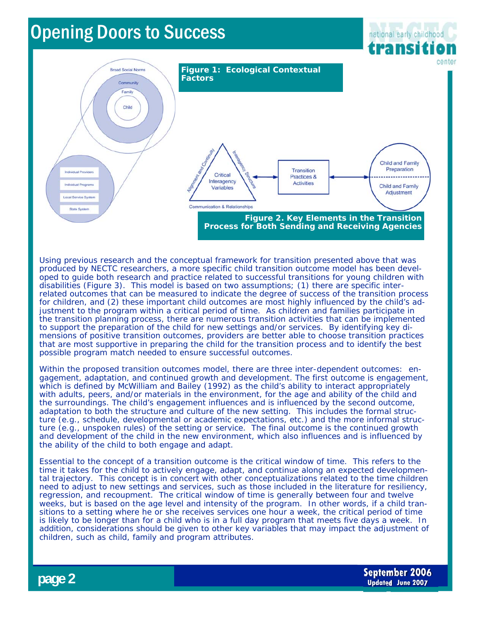

Using previous research and the conceptual framework for transition presented above that was produced by NECTC researchers, a more specific child transition outcome model has been developed to guide both research and practice related to successful transitions for young children with disabilities (Figure 3). This model is based on two assumptions; (1) there are specific interrelated outcomes that can be measured to indicate the *degree of success* of the transition process for children, and (2) these important child outcomes are most highly influenced by the child's adjustment to the program within a critical period of time. As children and families participate in the transition planning process, there are numerous transition activities that can be implemented to support the preparation of the child for new settings and/or services. By identifying key dimensions of positive transition outcomes, providers are better able to choose transition practices that are most supportive in preparing the child for the transition process and to identify the best possible program match needed to ensure successful outcomes.

Within the proposed transition outcomes model, there are three inter-dependent outcomes: engagement, adaptation, and continued growth and development. The first outcome is engagement, which is defined by McWilliam and Bailey (1992) as the child's ability to interact appropriately with adults, peers, and/or materials in the environment, for the age and ability of the child and the surroundings. The child's engagement influences and is influenced by the second outcome, adaptation to both the structure and culture of the new setting. This includes the formal structure (e.g., schedule, developmental or academic expectations, etc.) and the more informal structure (e.g., unspoken rules) of the setting or service. The final outcome is the continued growth and development of the child in the new environment, which also influences and is influenced by the ability of the child to both engage and adapt.

Essential to the concept of a transition outcome is the *critical window of time*. This refers to the time it takes for the child to actively engage, adapt, and continue along an expected developmental trajectory. This concept is in concert with other conceptualizations related to the time children need to adjust to new settings and services, such as those included in the literature for resiliency, regression, and recoupment. The critical window of time is generally between four and twelve weeks, but is based on the age level and intensity of the program. In other words, if a child transitions to a setting where he or she receives services one hour a week, the critical period of time is likely to be longer than for a child who is in a full day program that meets five days a week. In addition, considerations should be given to other key variables that may impact the adjustment of children, such as child, family and program attributes.

**page 2** 

**September 2006 Updated June 2007**

national early childhood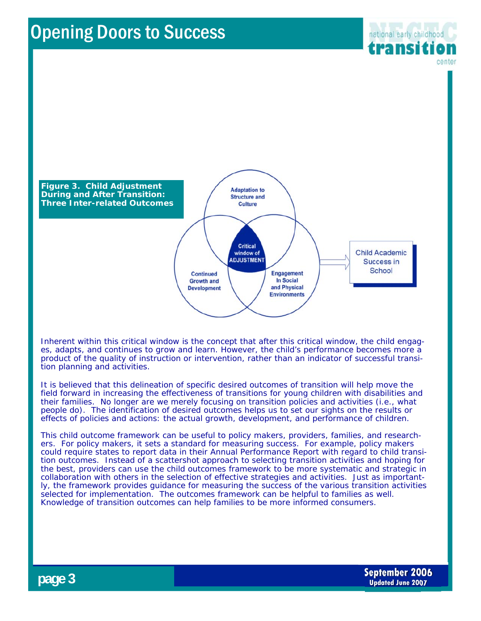

Inherent within this critical window is the concept that after this critical window, the child engages, adapts, and continues to grow and learn. However, the child's performance becomes more a product of the quality of instruction or intervention, rather than an indicator of successful transition planning and activities.

It is believed that this delineation of specific desired outcomes of transition will help move the field forward in increasing the effectiveness of transitions for young children with disabilities and their families. No longer are we merely focusing on transition policies and activities (i.e., what people do). The identification of desired outcomes helps us to set our sights on the results or effects of policies and actions: the actual growth, development, and performance of children.

This child outcome framework can be useful to policy makers, providers, families, and researchers. For *policy makers*, it sets a standard for measuring success. For example, policy makers could require states to report data in their Annual Performance Report with regard to child transition outcomes. Instead of a scattershot approach to selecting transition activities and hoping for the best, *providers* can use the child outcomes framework to be more systematic and strategic in collaboration with others in the selection of effective strategies and activities. Just as importantly, the framework provides guidance for measuring the success of the various transition activities selected for implementation. The outcomes framework can be helpful to *families* as well. Knowledge of transition outcomes can help families to be more informed consumers.

national early childhood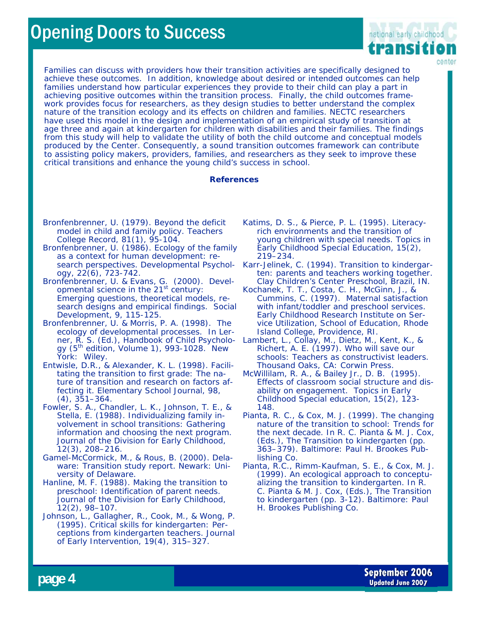

Families can discuss with providers how their transition activities are specifically designed to achieve these outcomes. In addition, knowledge about desired or intended outcomes can help families understand how particular experiences they provide to their child can play a part in achieving positive outcomes within the transition process. Finally, the child outcomes framework provides focus for *researchers*, as they design studies to better understand the complex nature of the transition ecology and its effects on children and families. NECTC researchers have used this model in the design and implementation of an empirical study of transition at age three and again at kindergarten for children with disabilities and their families. The findings from this study will help to validate the utility of both the child outcome and conceptual models produced by the Center. Consequently, a sound transition outcomes framework can contribute to assisting policy makers, providers, families, and researchers as they seek to improve these critical transitions and enhance the young child's success in school.

#### **References**

- Bronfenbrenner, U. (1979). Beyond the deficit model in child and family policy. *Teachers College Record, 81(1),* 95-104.
- Bronfenbrenner, U. (1986). Ecology of the family as a context for human development: research perspectives. *Developmental Psychology, 22(6),* 723-742.
- Bronfenbrenner, U. & Evans, G. (2000). Developmental science in the 21<sup>st</sup> century: Emerging questions, theoretical models, research designs and empirical findings. *Social Development, 9,* 115-125.
- Bronfenbrenner, U. & Morris, P. A. (1998). The ecology of developmental processes. In Lerner, R. S. (Ed.), *Handbook of Child Psycholo-*Lambert, L., Collay, M., Dietz, M., Kent, K., & *gy* (5<sup>th</sup> edition, Volume 1), 993-1028. New York: Wiley.
- Entwisle, D.R., & Alexander, K. L. (1998). Facilitating the transition to first grade: The nature of transition and research on factors affecting it. *Elementary School Journal*, *98*, (4), 351–364.
- Fowler, S. A., Chandler, L. K., Johnson, T. E., & Stella, E. (1988). Individualizing family involvement in school transitions: Gathering information and choosing the next program. *Journal of the Division for Early Childhood*, 12(3), 208–216.
- Gamel-McCormick, M., & Rous, B. (2000). *Delaware: Transition study report*. Newark: University of Delaware.
- Hanline, M. F. (1988). Making the transition to preschool: Identification of parent needs. *Journal of the Division for Early Childhood*, 12(2), 98–107.
- Johnson, L., Gallagher, R., Cook, M., & Wong, P. (1995). Critical skills for kindergarten: Perceptions from kindergarten teachers. *Journal of Early Intervention*, 19(4), 315–327.
- Katims, D. S., & Pierce, P. L. (1995). Literacyrich environments and the transition of young children with special needs. *Topics in Early Childhood Special Education*, 15(2), 219–234.
- Karr-Jelinek, C. (1994). Transition to kindergarten: parents and teachers working together. Clay Children's Center Preschool, Brazil, IN.
- Kochanek, T. T., Costa, C. H., McGinn, J., & Cummins, C. (1997). *Maternal satisfaction with infant/toddler and preschool services.* Early Childhood Research Institute on Service Utilization, School of Education, Rhode Island College, Providence, RI.
- Richert, A. E. (1997). *Who will save our schools: Teachers as constructivist leaders*. Thousand Oaks, CA: Corwin Press.
- McWillilam, R. A., & Bailey Jr., D. B. (1995). Effects of classroom social structure and disability on engagement. *Topics in Early Childhood Special education,* 15(2), 123- 148*.*
- Pianta, R. C., & Cox, M. J. (1999). The changing nature of the transition to school: Trends for the next decade. In R. C. Pianta & M. J. Cox, (Eds.), *The Transition to kindergarten* (pp. 363–379). Baltimore: Paul H. Brookes Publishing Co.
- Pianta, R.C., Rimm-Kaufman, S. E., & Cox, M. J. (1999). An ecological approach to conceptualizing the transition to kindergarten. In R. C. Pianta & M. J. Cox, (Eds.), *The Transition to kindergarten* (pp. 3-12). Baltimore: Paul H. Brookes Publishing Co.